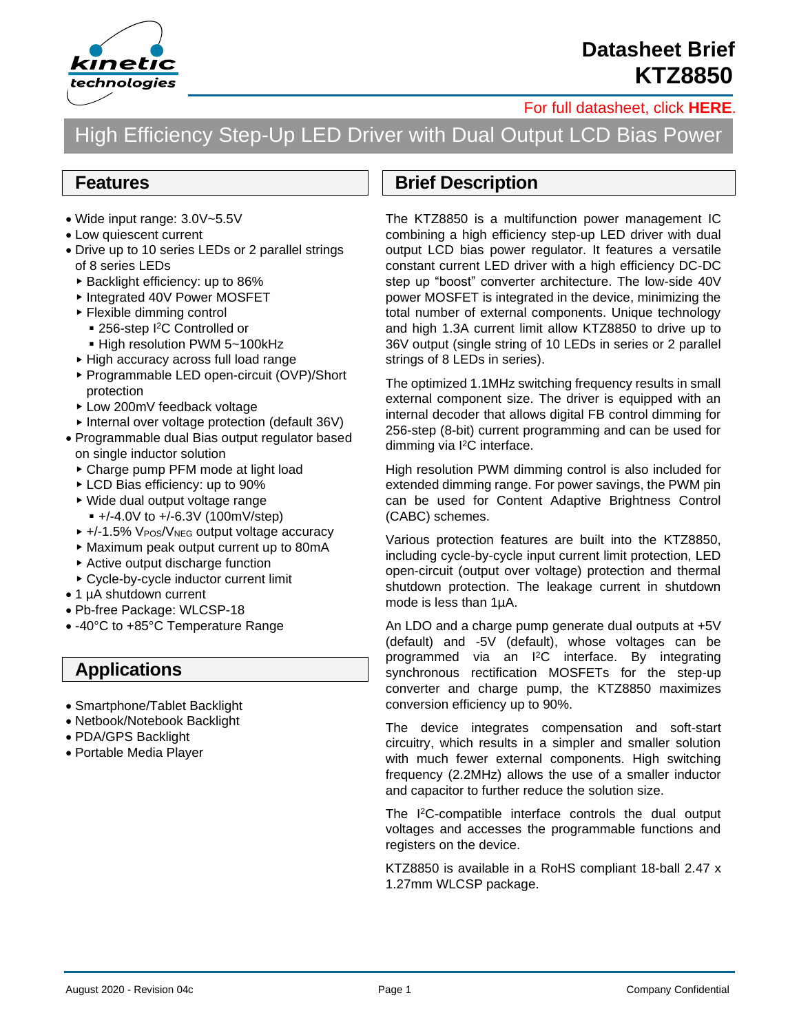

# **Datasheet Brief KTZ8850**

[For full datasheet, click](https://www.kinet-ic.com/sample-buy/request-document/?part=KTZ8850%20Full%20Datasheet) **HERE**.

# High Efficiency Step-Up LED Driver with Dual Output LCD Bias Power

#### **Features**

- Wide input range: 3.0V~5.5V
- Low quiescent current
- Drive up to 10 series LEDs or 2 parallel strings of 8 series LEDs
	- ▶ Backlight efficiency: up to 86%
	- ▶ Integrated 40V Power MOSFET
	- Flexible dimming control
		- 256-step I<sup>2</sup>C Controlled or
		- High resolution PWM 5~100kHz
	- ▶ High accuracy across full load range
	- ▶ Programmable LED open-circuit (OVP)/Short protection
	- ► Low 200mV feedback voltage
	- Internal over voltage protection (default 36V)
- Programmable dual Bias output regulator based on single inductor solution
	- Charge pump PFM mode at light load
	- ▶ LCD Bias efficiency: up to 90%
	- Wide dual output voltage range  $+/-4.0V$  to  $+/-6.3V$  (100mV/step)
	- ▶ +/-1.5% VPOS/VNEG output voltage accuracy
	- Maximum peak output current up to 80mA
	- Active output discharge function
	- Cycle-by-cycle inductor current limit
- 1 µA shutdown current
- Pb-free Package: WLCSP-18
- -40°C to +85°C Temperature Range

#### **Applications**

- Smartphone/Tablet Backlight
- Netbook/Notebook Backlight
- PDA/GPS Backlight
- Portable Media Player

#### **Brief Description**

The KTZ8850 is a multifunction power management IC combining a high efficiency step-up LED driver with dual output LCD bias power regulator. It features a versatile constant current LED driver with a high efficiency DC-DC step up "boost" converter architecture. The low-side 40V power MOSFET is integrated in the device, minimizing the total number of external components. Unique technology and high 1.3A current limit allow KTZ8850 to drive up to 36V output (single string of 10 LEDs in series or 2 parallel strings of 8 LEDs in series).

The optimized 1.1MHz switching frequency results in small external component size. The driver is equipped with an internal decoder that allows digital FB control dimming for 256-step (8-bit) current programming and can be used for dimming via I <sup>2</sup>C interface.

High resolution PWM dimming control is also included for extended dimming range. For power savings, the PWM pin can be used for Content Adaptive Brightness Control (CABC) schemes.

Various protection features are built into the KTZ8850, including cycle-by-cycle input current limit protection, LED open-circuit (output over voltage) protection and thermal shutdown protection. The leakage current in shutdown mode is less than 1µA.

An LDO and a charge pump generate dual outputs at +5V (default) and -5V (default), whose voltages can be programmed via an I<sup>2</sup>C interface. By integrating synchronous rectification MOSFETs for the step-up converter and charge pump, the KTZ8850 maximizes conversion efficiency up to 90%.

The device integrates compensation and soft-start circuitry, which results in a simpler and smaller solution with much fewer external components. High switching frequency (2.2MHz) allows the use of a smaller inductor and capacitor to further reduce the solution size.

The I<sup>2</sup>C-compatible interface controls the dual output voltages and accesses the programmable functions and registers on the device.

KTZ8850 is available in a RoHS compliant 18-ball 2.47 x 1.27mm WLCSP package.